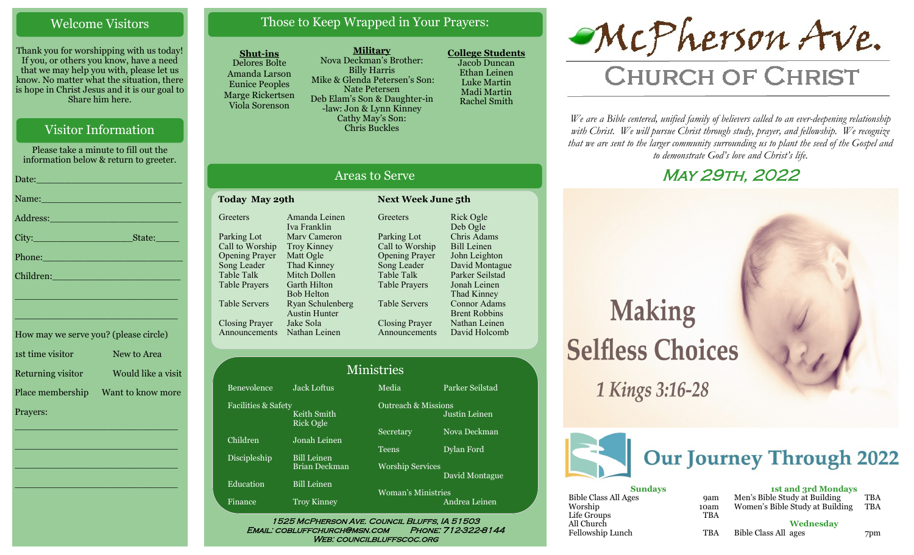### Welcome Visitors

Thank you for worshipping with us today! If you, or others you know, have a need that we may help you with, please let us know. No matter what the situation, there is hope in Christ Jesus and it is our goal to Share him here.

## Visitor Information

Please take a minute to fill out the information below & return to greeter.

| Name: Name and the second state of the second state of the second state of the second state of the second state of the second state of the second state of the second state of the second state of the second state of the sec |
|--------------------------------------------------------------------------------------------------------------------------------------------------------------------------------------------------------------------------------|
|                                                                                                                                                                                                                                |
|                                                                                                                                                                                                                                |
| Phone: New York Changes and The Changes of the Changes of the Changes of the Changes of the Changes of the Changes of the Changes of the Changes of the Changes of the Changes of the Changes of the Changes of the Changes of |
| Children: 2008 - 2008 - 2008 - 2019 - 2019 - 2019 - 2019 - 2019 - 2019 - 2019 - 2019 - 2019 - 2019 - 2019 - 20                                                                                                                 |
| <u> 1989 - Johann Barbert, mars et al. 1989 - Anna ann an t-Amhain ann an t-Amhain ann an t-Amhain ann an t-Amhai</u>                                                                                                          |
| the contract of the contract of the contract of the contract of the contract of the contract of the contract of                                                                                                                |
|                                                                                                                                                                                                                                |

| How may we serve you? (please circle) |                    |
|---------------------------------------|--------------------|
| 1st time visitor                      | New to Area        |
| Returning visitor                     | Would like a visit |
| Place membership                      | Want to know more  |
| Prayers:                              |                    |

\_\_\_\_\_\_\_\_\_\_\_\_\_\_\_\_\_\_\_\_\_\_\_\_\_\_\_\_

 $\overline{\phantom{a}}$  , and the set of the set of the set of the set of the set of the set of the set of the set of the set of the set of the set of the set of the set of the set of the set of the set of the set of the set of the s

 $\overline{\phantom{a}}$  , and the set of the set of the set of the set of the set of the set of the set of the set of the set of the set of the set of the set of the set of the set of the set of the set of the set of the set of the s

\_\_\_\_\_\_\_\_\_\_\_\_\_\_\_\_\_\_\_\_\_\_\_\_\_\_\_\_

## Those to Keep Wrapped in Your Prayers:

#### **Shut-ins**

Delores Bolte Amanda Larson Eunice Peoples Marge Rickertsen Viola Sorenson

**Military** Nova Deckman's Brother: Billy Harris Mike & Glenda Petersen's Son: Nate Petersen Deb Elam's Son & Daughter-in -law: Jon & Lynn Kinney Cathy May's Son: Chris Buckles

**College Students**  Jacob Duncan Ethan Leinen Luke Martin Madi Martin Rachel Smith

# McPherson Ave.

## **CHURCH OF CHRIST**

*We are a Bible centered, unified family of believers called to an ever-deepening relationship*  with Christ. We will pursue Christ through study, prayer, and fellowship. We recognize *that we are sent to the larger community surrounding us to plant the seed of the Gospel and to demonstrate God's love and Christ's life.*

## May 29th, 2022

## **Making Selfless Choices**

1 Kings 3:16-28



| <b>Sundays</b>       |            | 1st and 3rd Mondays             |            |
|----------------------|------------|---------------------------------|------------|
| Bible Class All Ages | <b>9am</b> | Men's Bible Study at Building   | <b>TBA</b> |
| Worship              | 10am       | Women's Bible Study at Building | <b>TBA</b> |
| Life Groups          | <b>TBA</b> |                                 |            |
| All Church           |            | Wednesday                       |            |
| Fellowship Lunch     | TBA        | Bible Class All ages            | 7pm        |

## Areas to Serve

**Next Week June 5th** 

| Today May 29th        |                      |  |
|-----------------------|----------------------|--|
| Greeters              | Amanda Leinen        |  |
|                       | Iva Franklin         |  |
| Parking Lot           | Mary Cameron         |  |
| Call to Worship       | <b>Troy Kinney</b>   |  |
| <b>Opening Prayer</b> | Matt Ogle            |  |
| Song Leader           | Thad Kinney          |  |
| Table Talk            | Mitch Dollen         |  |
| Table Prayers         | Garth Hilton         |  |
|                       | <b>Bob Helton</b>    |  |
| Table Servers         | Ryan Schulenberg     |  |
|                       | <b>Austin Hunter</b> |  |
| <b>Closing Prayer</b> | Jake Sola            |  |
| Announcements         | Nathan Leinen        |  |
|                       |                      |  |

| Greeters              | Rick Ogle            |
|-----------------------|----------------------|
|                       | Deb Ogle             |
| Parking Lot           | Chris Adams          |
| Call to Worship       | <b>Bill Leinen</b>   |
| <b>Opening Prayer</b> | John Leighton        |
| Song Leader           | David Montague       |
| <b>Table Talk</b>     | Parker Seilstad      |
| <b>Table Prayers</b>  | Jonah Leinen         |
|                       | Thad Kinney          |
| <b>Table Servers</b>  | Connor Adams         |
|                       | <b>Brent Robbins</b> |
| Closing Prayer        | Nathan Leinen        |
| Announcements         | David Holcomb        |

Justin Leinen

David Montague

|  |  | <b>Ministries</b> |  |
|--|--|-------------------|--|
|  |  |                   |  |

|        | <b>Jack Loftus</b>                         |  |
|--------|--------------------------------------------|--|
| Safety | Keith Smith<br><b>Rick Ogle</b>            |  |
|        | Jonah Leinen                               |  |
|        | <b>Bill Leinen</b><br><b>Brian Deckman</b> |  |
|        | <b>Bill Leinen</b>                         |  |

Outreach & Missions ecretary Nova Deckman

**Education** 

Finance Troy Kinney

Benevolence Facilities &

Children

Discipleship

Worship Services Woman's Ministries

Andrea Leinen

Media Parker Seilstad

eens Dylan Ford

1525 McPherson Ave. Council Bluffs, IA 51503 Email: cobluffchurch@msn.com Phone: 712-322-8144 WEB: COUNCILBLUFFSCOC.ORG